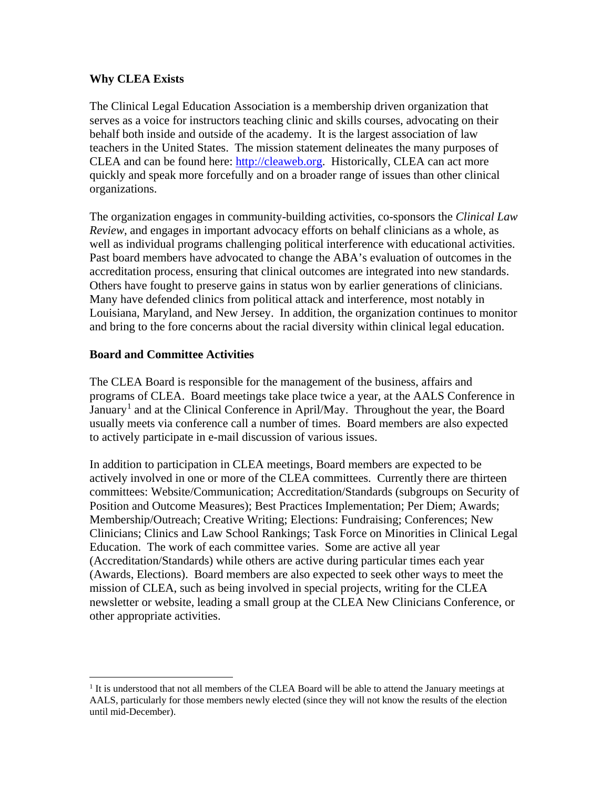## **Why CLEA Exists**

The Clinical Legal Education Association is a membership driven organization that serves as a voice for instructors teaching clinic and skills courses, advocating on their behalf both inside and outside of the academy. It is the largest association of law teachers in the United States. The mission statement delineates the many purposes of CLEA and can be found here: [http://cleaweb.org.](http://cleaweb.org/) Historically, CLEA can act more quickly and speak more forcefully and on a broader range of issues than other clinical organizations.

The organization engages in community-building activities, co-sponsors the *Clinical Law Review*, and engages in important advocacy efforts on behalf clinicians as a whole, as well as individual programs challenging political interference with educational activities. Past board members have advocated to change the ABA's evaluation of outcomes in the accreditation process, ensuring that clinical outcomes are integrated into new standards. Others have fought to preserve gains in status won by earlier generations of clinicians. Many have defended clinics from political attack and interference, most notably in Louisiana, Maryland, and New Jersey. In addition, the organization continues to monitor and bring to the fore concerns about the racial diversity within clinical legal education.

## **Board and Committee Activities**

The CLEA Board is responsible for the management of the business, affairs and programs of CLEA. Board meetings take place twice a year, at the AALS Conference in January<sup>[1](#page-0-0)</sup> and at the Clinical Conference in April/May. Throughout the year, the Board usually meets via conference call a number of times. Board members are also expected to actively participate in e-mail discussion of various issues.

In addition to participation in CLEA meetings, Board members are expected to be actively involved in one or more of the CLEA committees. Currently there are thirteen committees: Website/Communication; Accreditation/Standards (subgroups on Security of Position and Outcome Measures); Best Practices Implementation; Per Diem; Awards; Membership/Outreach; Creative Writing; Elections: Fundraising; Conferences; New Clinicians; Clinics and Law School Rankings; Task Force on Minorities in Clinical Legal Education. The work of each committee varies. Some are active all year (Accreditation/Standards) while others are active during particular times each year (Awards, Elections). Board members are also expected to seek other ways to meet the mission of CLEA, such as being involved in special projects, writing for the CLEA newsletter or website, leading a small group at the CLEA New Clinicians Conference, or other appropriate activities.

<span id="page-0-0"></span> $<sup>1</sup>$  It is understood that not all members of the CLEA Board will be able to attend the January meetings at</sup> AALS, particularly for those members newly elected (since they will not know the results of the election until mid-December).